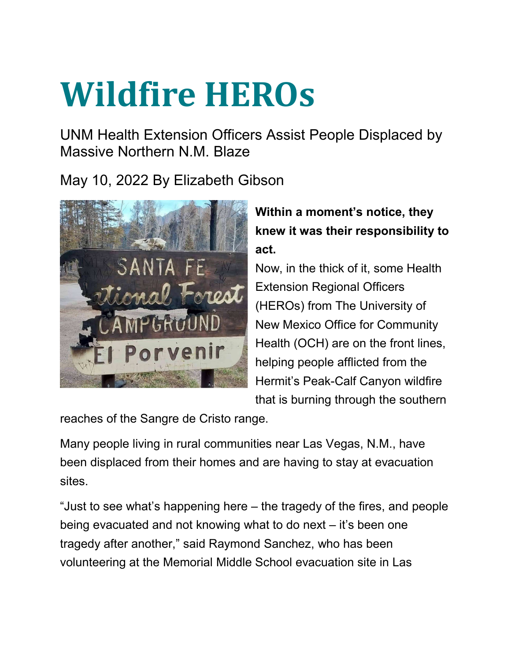## **Wildfire HEROs**

UNM Health Extension Officers Assist People Displaced by Massive Northern N.M. Blaze

May 10, 2022 By Elizabeth Gibson



## **Within a moment's notice, they knew it was their responsibility to act.**

Now, in the thick of it, some Health Extension Regional Officers (HEROs) from The University of New Mexico Office for Community Health (OCH) are on the front lines, helping people afflicted from the Hermit's Peak-Calf Canyon wildfire that is burning through the southern

reaches of the Sangre de Cristo range.

Many people living in rural communities near Las Vegas, N.M., have been displaced from their homes and are having to stay at evacuation sites.

"Just to see what's happening here – the tragedy of the fires, and people being evacuated and not knowing what to do next – it's been one tragedy after another," said Raymond Sanchez, who has been volunteering at the Memorial Middle School evacuation site in Las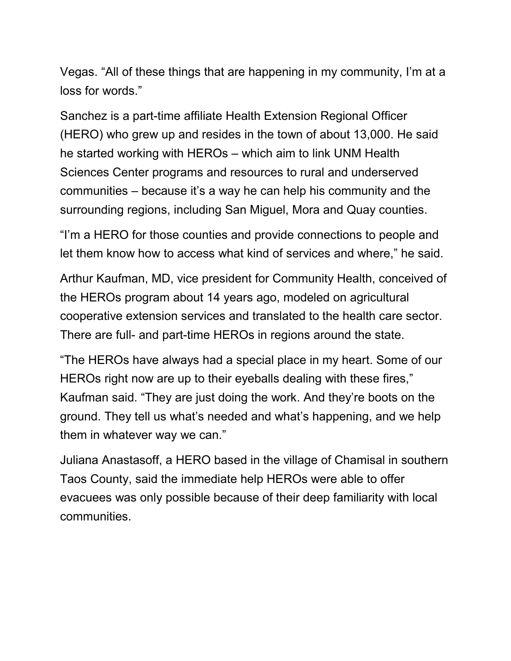Vegas. "All of these things that are happening in my community, I'm at a loss for words."

Sanchez is a part-time affiliate Health Extension Regional Officer (HERO) who grew up and resides in the town of about 13,000. He said he started working with HEROs – which aim to link UNM Health Sciences Center programs and resources to rural and underserved communities – because it's a way he can help his community and the surrounding regions, including San Miguel, Mora and Quay counties.

"I'm a HERO for those counties and provide connections to people and let them know how to access what kind of services and where," he said.

Arthur Kaufman, MD, vice president for Community Health, conceived of the HEROs program about 14 years ago, modeled on agricultural cooperative extension services and translated to the health care sector. There are full- and part-time HEROs in regions around the state.

"The HEROs have always had a special place in my heart. Some of our HEROs right now are up to their eyeballs dealing with these fires," Kaufman said. "They are just doing the work. And they're boots on the ground. They tell us what's needed and what's happening, and we help them in whatever way we can."

Juliana Anastasoff, a HERO based in the village of Chamisal in southern Taos County, said the immediate help HEROs were able to offer evacuees was only possible because of their deep familiarity with local communities.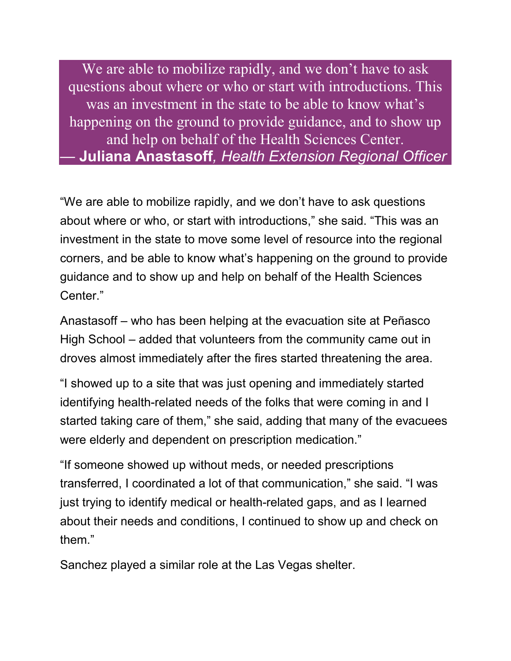We are able to mobilize rapidly, and we don't have to ask questions about where or who or start with introductions. This was an investment in the state to be able to know what's happening on the ground to provide guidance, and to show up and help on behalf of the Health Sciences Center. *—* **Juliana Anastasoff***, Health Extension Regional Officer*

"We are able to mobilize rapidly, and we don't have to ask questions about where or who, or start with introductions," she said. "This was an investment in the state to move some level of resource into the regional corners, and be able to know what's happening on the ground to provide guidance and to show up and help on behalf of the Health Sciences Center<sup>"</sup>

Anastasoff – who has been helping at the evacuation site at Peñasco High School – added that volunteers from the community came out in droves almost immediately after the fires started threatening the area.

"I showed up to a site that was just opening and immediately started identifying health-related needs of the folks that were coming in and I started taking care of them," she said, adding that many of the evacuees were elderly and dependent on prescription medication."

"If someone showed up without meds, or needed prescriptions transferred, I coordinated a lot of that communication," she said. "I was just trying to identify medical or health-related gaps, and as I learned about their needs and conditions, I continued to show up and check on them."

Sanchez played a similar role at the Las Vegas shelter.